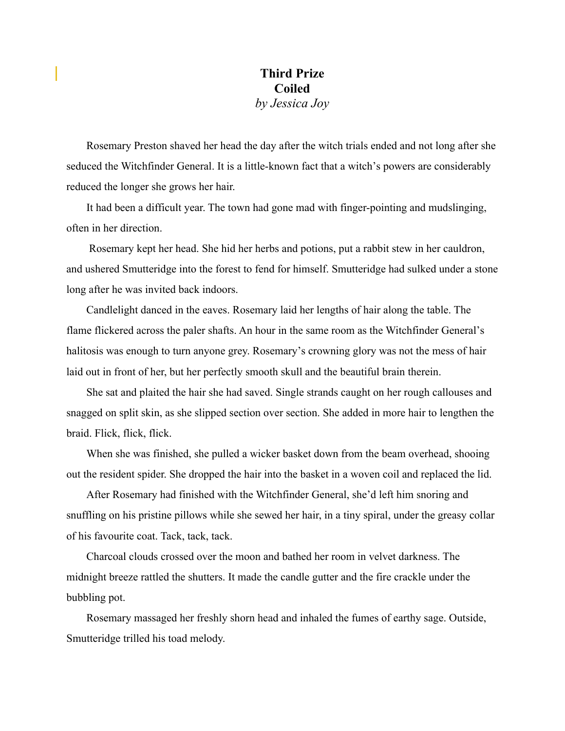## **Third Prize Coiled**  *by Jessica Joy*

Rosemary Preston shaved her head the day after the witch trials ended and not long after she seduced the Witchfinder General. It is a little-known fact that a witch's powers are considerably reduced the longer she grows her hair.

It had been a difficult year. The town had gone mad with finger-pointing and mudslinging, often in her direction.

 Rosemary kept her head. She hid her herbs and potions, put a rabbit stew in her cauldron, and ushered Smutteridge into the forest to fend for himself. Smutteridge had sulked under a stone long after he was invited back indoors.

Candlelight danced in the eaves. Rosemary laid her lengths of hair along the table. The flame flickered across the paler shafts. An hour in the same room as the Witchfinder General's halitosis was enough to turn anyone grey. Rosemary's crowning glory was not the mess of hair laid out in front of her, but her perfectly smooth skull and the beautiful brain therein.

She sat and plaited the hair she had saved. Single strands caught on her rough callouses and snagged on split skin, as she slipped section over section. She added in more hair to lengthen the braid. Flick, flick, flick.

When she was finished, she pulled a wicker basket down from the beam overhead, shooing out the resident spider. She dropped the hair into the basket in a woven coil and replaced the lid.

After Rosemary had finished with the Witchfinder General, she'd left him snoring and snuffling on his pristine pillows while she sewed her hair, in a tiny spiral, under the greasy collar of his favourite coat. Tack, tack, tack.

Charcoal clouds crossed over the moon and bathed her room in velvet darkness. The midnight breeze rattled the shutters. It made the candle gutter and the fire crackle under the bubbling pot.

Rosemary massaged her freshly shorn head and inhaled the fumes of earthy sage. Outside, Smutteridge trilled his toad melody.